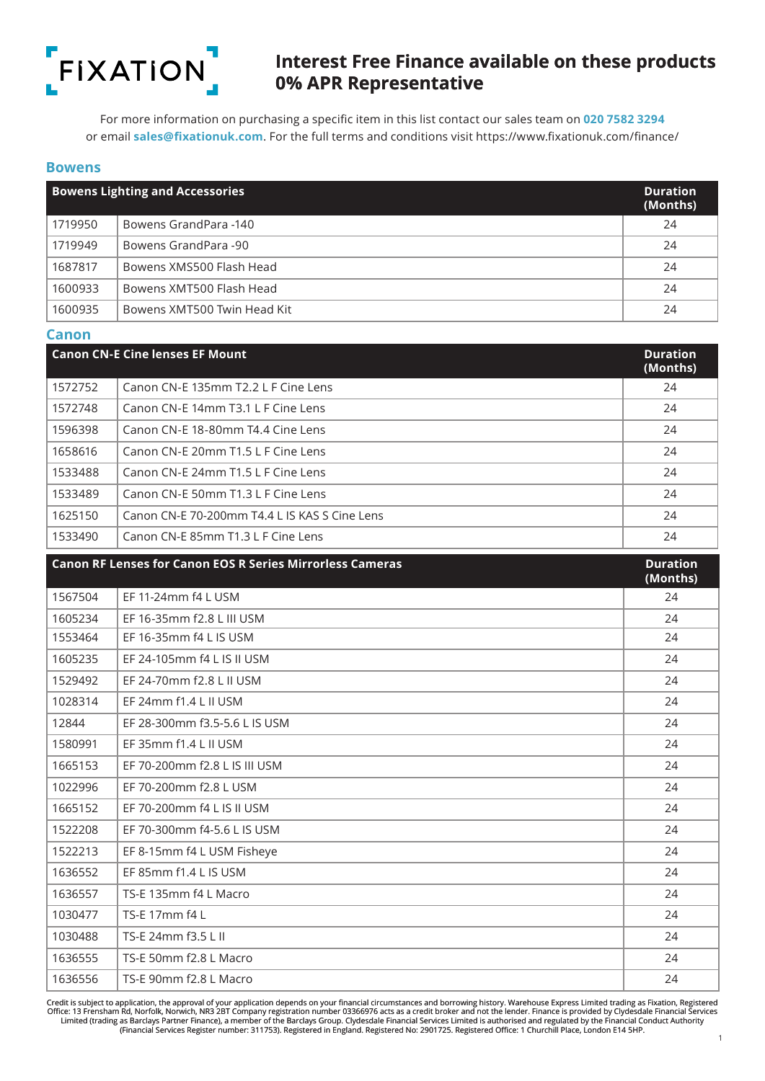

For more information on purchasing a specific item in this list contact our sales team on **020 7582 3294** or email **sales@fixationuk.com**. For the full terms and conditions visit https://www.fixationuk.com/finance/

#### **Bowens**

|         | <b>Bowens Lighting and Accessories</b> | <b>Duration</b><br>(Months) |
|---------|----------------------------------------|-----------------------------|
| 1719950 | Bowens GrandPara -140                  | 24                          |
| 1719949 | Bowens GrandPara -90                   | 24                          |
| 1687817 | Bowens XMS500 Flash Head               | 24                          |
| 1600933 | Bowens XMT500 Flash Head               | 24                          |
| 1600935 | Bowens XMT500 Twin Head Kit            | 24                          |

#### **Canon**

|         | <b>Canon CN-E Cine lenses EF Mount</b>        | <b>Duration</b><br>(Months) |
|---------|-----------------------------------------------|-----------------------------|
| 1572752 | Canon CN-E 135mm T2.2 L F Cine Lens           | 24                          |
| 1572748 | Canon CN-E 14mm T3.1 L F Cine Lens            | 24                          |
| 1596398 | Canon CN-E 18-80mm T4.4 Cine Lens             | 24                          |
| 1658616 | Canon CN-E 20mm T1.5 L F Cine Lens            | 24                          |
| 1533488 | Canon CN-E 24mm T1.5 L F Cine Lens            | 24                          |
| 1533489 | Canon CN-E 50mm T1.3 L F Cine Lens            | 24                          |
| 1625150 | Canon CN-E 70-200mm T4.4 L IS KAS S Cine Lens | 24                          |
| 1533490 | Canon CN-E 85mm T1.3 L F Cine Lens            | 24                          |

## **Canon RF Lenses for Canon EOS R Series Mirrorless Cameras Duration (Months)** EF 11-24mm f4 L USM 24 EF 16-35mm f2.8 L III USM 24 EF 16-35mm f4 L IS USM 24 EF 24-105mm f4 L IS II USM 24 EF 24-70mm f2.8 L II USM 24 EF 24mm f1.4 L II USM 24 EF 28-300mm f3.5-5.6 L IS USM 24 EF 35mm f1.4 L II USM 24 EF 70-200mm f2.8 L IS III USM 24 EF 70-200mm f2.8 L USM 24 EF 70-200mm f4 L IS II USM 24 EF 70-300mm f4-5.6 L IS USM 24 EF 8-15mm f4 L USM Fisheye 24 EF 85mm f1.4 L IS USM 24 TS-E 135mm f4 L Macro 24 TS-F 17mm f4 L 24 TS-E 24mm f3.5 L II 24 TS-E 50mm f2.8 L Macro 24 TS-E 90mm f2.8 L Macro 24

Credit is subject to application, the approval of your application depends on your financial circumstances and borrowing history. Warehouse Express Limited trading as Fixation, Registered Office: 13 Frensham Rd, Norfolk, Norwich, NR3 2BT Company registration number 03366976 acts as a credit broker and not the lender. Finance is provided by Clydesdale Financial Services Limited (trading as Barclays Partner Finance), a member of the Barclays Group. Clydesdale Financial Services Limited is authorised and regulated by the Financial Conduct Authority<br>(Financial Services Register number: 3117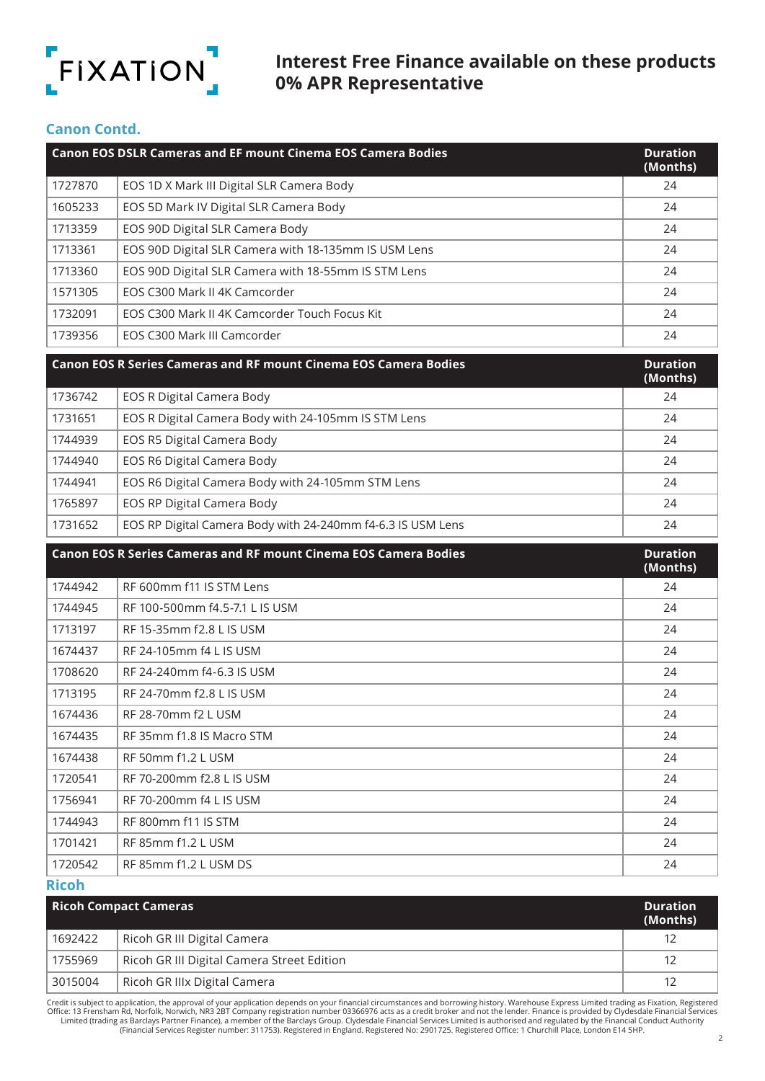

#### **Canon Contd.**

|         | <b>Canon EOS DSLR Cameras and EF mount Cinema EOS Camera Bodies</b> | <b>Duration</b><br>(Months) |
|---------|---------------------------------------------------------------------|-----------------------------|
| 1727870 | EOS 1D X Mark III Digital SLR Camera Body                           | 24                          |
| 1605233 | EOS 5D Mark IV Digital SLR Camera Body                              | 24                          |
| 1713359 | EOS 90D Digital SLR Camera Body                                     | 24                          |
| 1713361 | EOS 90D Digital SLR Camera with 18-135mm IS USM Lens                | 24                          |
| 1713360 | EOS 90D Digital SLR Camera with 18-55mm IS STM Lens                 | 24                          |
| 1571305 | EOS C300 Mark II 4K Camcorder                                       | 24                          |
| 1732091 | EOS C300 Mark II 4K Camcorder Touch Focus Kit                       | 24                          |
| 1739356 | EOS C300 Mark III Camcorder                                         | 24                          |

|         | <b>Canon EOS R Series Cameras and RF mount Cinema EOS Camera Bodies</b> | <b>Duration</b><br>(Months) |
|---------|-------------------------------------------------------------------------|-----------------------------|
| 1736742 | <b>EOS R Digital Camera Body</b>                                        | 24                          |
| 1731651 | EOS R Digital Camera Body with 24-105mm IS STM Lens                     | 24                          |
| 1744939 | EOS R5 Digital Camera Body                                              | 24                          |
| 1744940 | EOS R6 Digital Camera Body                                              | 24                          |
| 1744941 | EOS R6 Digital Camera Body with 24-105mm STM Lens                       | 24                          |
| 1765897 | EOS RP Digital Camera Body                                              | 24                          |
| 1731652 | EOS RP Digital Camera Body with 24-240mm f4-6.3 IS USM Lens             | 24                          |

|         | <b>Canon EOS R Series Cameras and RF mount Cinema EOS Camera Bodies</b> | <b>Duration</b><br>(Months) |
|---------|-------------------------------------------------------------------------|-----------------------------|
| 1744942 | RF 600mm f11 IS STM Lens                                                | 24                          |
| 1744945 | RF 100-500mm f4.5-7.1 L IS USM                                          | 24                          |
| 1713197 | RF 15-35mm f2.8 L IS USM                                                | 24                          |
| 1674437 | RF 24-105mm f4 L IS USM                                                 | 24                          |
| 1708620 | RF 24-240mm f4-6.3 IS USM                                               | 24                          |
| 1713195 | RF 24-70mm f2.8 L IS USM                                                | 24                          |
| 1674436 | RF 28-70mm f2 L USM                                                     | 24                          |
| 1674435 | RF 35mm f1.8 IS Macro STM                                               | 24                          |
| 1674438 | RF 50mm f1.2 L USM                                                      | 24                          |
| 1720541 | RF 70-200mm f2.8 L IS USM                                               | 24                          |
| 1756941 | RF 70-200mm f4 L IS USM                                                 | 24                          |
| 1744943 | RF 800mm f11 IS STM                                                     | 24                          |
| 1701421 | RF 85mm f1.2 L USM                                                      | 24                          |
| 1720542 | RF 85mm f1.2 L USM DS                                                   | 24                          |

**Ricoh**

|         | <b>Ricoh Compact Cameras</b>               | <b>Duration</b><br>(Months) |
|---------|--------------------------------------------|-----------------------------|
| 1692422 | Ricoh GR III Digital Camera                |                             |
| 1755969 | Ricoh GR III Digital Camera Street Edition |                             |
| 3015004 | Ricoh GR IIIx Digital Camera               |                             |

Credit is subject to application, the approval of your application depends on your financial circumstances and borrowing history. Warehouse Express Limited trading as Fixation, Registered Office: 13 Frensham Rd, Norfolk, Norwich, NR3 2BT Company registration number 03366976 acts as a credit broker and not the lender. Finance is provided by Clydesdale Financial Services<br>Limited (trading as Barclays Partner F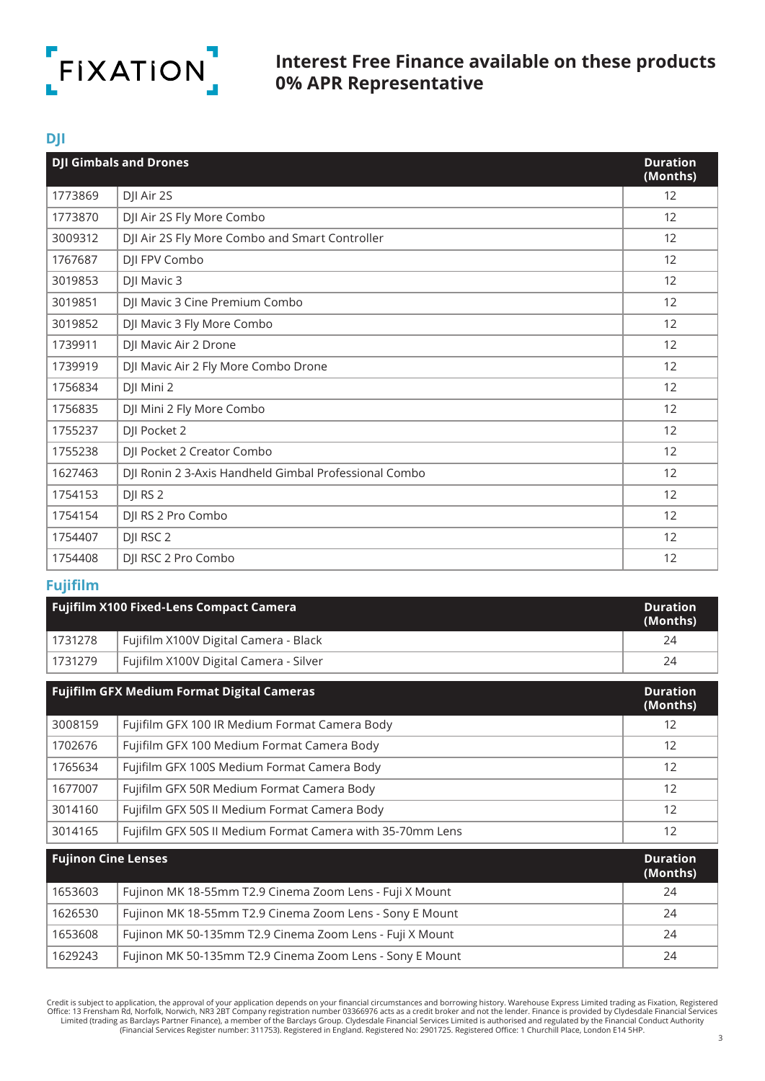

### **DJI**

|         | <b>DJI Gimbals and Drones</b>                         | <b>Duration</b><br>(Months) |
|---------|-------------------------------------------------------|-----------------------------|
| 1773869 | DJI Air 2S                                            | 12                          |
| 1773870 | DJI Air 2S Fly More Combo                             | $12 \overline{ }$           |
| 3009312 | DJI Air 2S Fly More Combo and Smart Controller        | 12                          |
| 1767687 | DJI FPV Combo                                         | 12                          |
| 3019853 | DJI Mavic 3                                           | 12                          |
| 3019851 | DJI Mavic 3 Cine Premium Combo                        | 12                          |
| 3019852 | DJI Mavic 3 Fly More Combo                            | 12                          |
| 1739911 | DJI Mavic Air 2 Drone                                 | 12                          |
| 1739919 | DJI Mavic Air 2 Fly More Combo Drone                  | 12                          |
| 1756834 | DJI Mini 2                                            | 12                          |
| 1756835 | DJI Mini 2 Fly More Combo                             | 12                          |
| 1755237 | DJI Pocket 2                                          | 12                          |
| 1755238 | DJI Pocket 2 Creator Combo                            | 12                          |
| 1627463 | DJI Ronin 2 3-Axis Handheld Gimbal Professional Combo | 12                          |
| 1754153 | DJI RS 2                                              | 12                          |
| 1754154 | DJI RS 2 Pro Combo                                    | 12                          |
| 1754407 | DJI RSC 2                                             | 12                          |
| 1754408 | DJI RSC 2 Pro Combo                                   | 12                          |

## **Fujifilm**

|         | <b>Fujifilm X100 Fixed-Lens Compact Camera</b> | <b>Duration</b><br>(Months) |
|---------|------------------------------------------------|-----------------------------|
| 1731278 | Fujifilm X100V Digital Camera - Black          | 24                          |
| 1731279 | Fujifilm X100V Digital Camera - Silver         | 24                          |

| <b>Fujifilm GFX Medium Format Digital Cameras</b> |                                                            | <b>Duration</b><br>(Months) |
|---------------------------------------------------|------------------------------------------------------------|-----------------------------|
| 3008159                                           | Fujifilm GFX 100 IR Medium Format Camera Body              | 12                          |
| 1702676                                           | Fujifilm GFX 100 Medium Format Camera Body                 | 12                          |
| 1765634                                           | Fujifilm GFX 100S Medium Format Camera Body                | 12                          |
| 1677007                                           | Fujifilm GFX 50R Medium Format Camera Body                 | 12                          |
| 3014160                                           | Fujifilm GFX 50S II Medium Format Camera Body              | 12                          |
| 3014165                                           | Fujifilm GFX 50S II Medium Format Camera with 35-70mm Lens | 12                          |
| Euiinan Cina Lancoc                               |                                                            | <b>Durstion</b>             |

| <b>Fujinon Cine Lenses</b> |                                                          | <b>Duration</b><br>(Months) |
|----------------------------|----------------------------------------------------------|-----------------------------|
| 1653603                    | Fujinon MK 18-55mm T2.9 Cinema Zoom Lens - Fuji X Mount  | 24                          |
| 1626530                    | Fujinon MK 18-55mm T2.9 Cinema Zoom Lens - Sony E Mount  | 24                          |
| 1653608                    | Fujinon MK 50-135mm T2.9 Cinema Zoom Lens - Fuji X Mount | 24                          |
| 1629243                    | Fujinon MK 50-135mm T2.9 Cinema Zoom Lens - Sony E Mount | 24                          |

2 Credit is subject to application, the approval of your application depends on your financial circumstances and borrowing history. Warehouse Express Limited trading as Fixation, Registered Office: 13 Frensham Rd, Norfolk,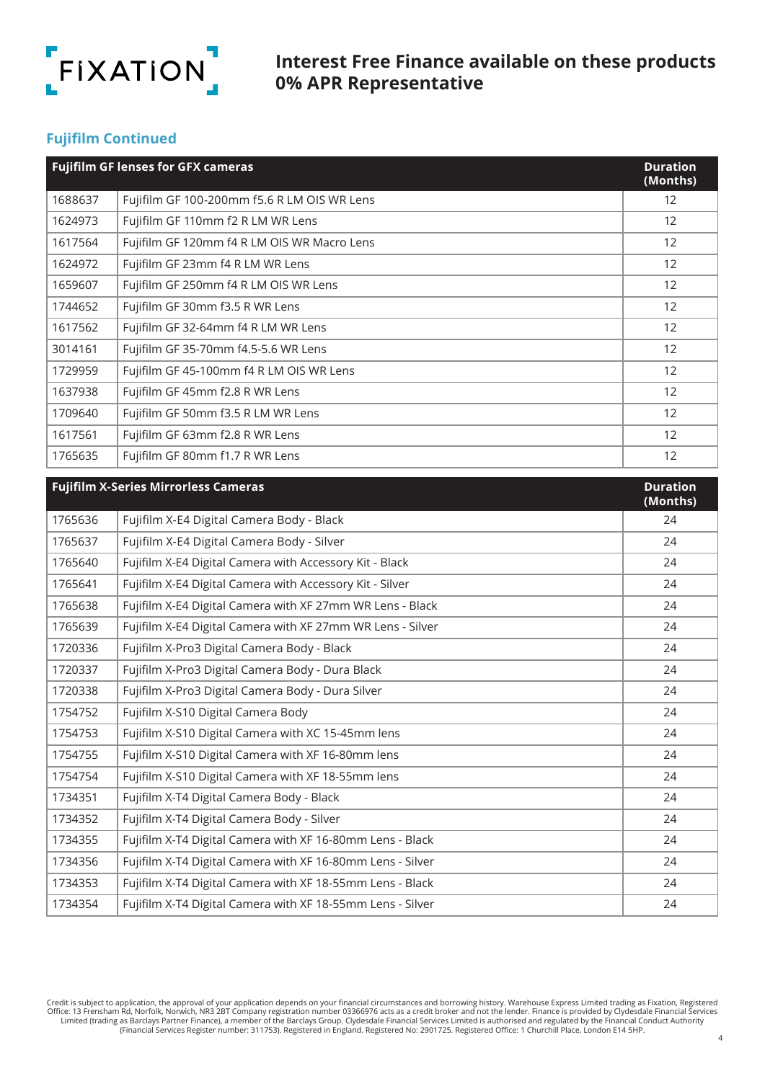

## **Fujifilm Continued**

|         | <b>Fujifilm GF lenses for GFX cameras</b>   | <b>Duration</b><br>(Months) |
|---------|---------------------------------------------|-----------------------------|
| 1688637 | Fujifilm GF 100-200mm f5.6 R LM OIS WR Lens | 12                          |
| 1624973 | Fujifilm GF 110mm f2 R LM WR Lens           | 12                          |
| 1617564 | Fujifilm GF 120mm f4 R LM OIS WR Macro Lens | $12 \overline{ }$           |
| 1624972 | Fujifilm GF 23mm f4 R LM WR Lens            | $12 \overline{ }$           |
| 1659607 | Fujifilm GF 250mm f4 R LM OIS WR Lens       | $12 \overline{ }$           |
| 1744652 | Fujifilm GF 30mm f3.5 R WR Lens             | $12 \overline{ }$           |
| 1617562 | Fujifilm GF 32-64mm f4 R LM WR Lens         | 12                          |
| 3014161 | Fujifilm GF 35-70mm f4.5-5.6 WR Lens        | $12 \overline{ }$           |
| 1729959 | Fujifilm GF 45-100mm f4 R LM OIS WR Lens    | 12                          |
| 1637938 | Fujifilm GF 45mm f2.8 R WR Lens             | 12                          |
| 1709640 | Fujifilm GF 50mm f3.5 R LM WR Lens          | 12                          |
| 1617561 | Fujifilm GF 63mm f2.8 R WR Lens             | 12                          |
| 1765635 | Fujifilm GF 80mm f1.7 R WR Lens             | $12 \overline{ }$           |

|         | <b>Fujifilm X-Series Mirrorless Cameras</b>                | <b>Duration</b><br>(Months) |
|---------|------------------------------------------------------------|-----------------------------|
| 1765636 | Fujifilm X-E4 Digital Camera Body - Black                  | 24                          |
| 1765637 | Fujifilm X-E4 Digital Camera Body - Silver                 | 24                          |
| 1765640 | Fujifilm X-E4 Digital Camera with Accessory Kit - Black    | 24                          |
| 1765641 | Fujifilm X-E4 Digital Camera with Accessory Kit - Silver   | 24                          |
| 1765638 | Fujifilm X-E4 Digital Camera with XF 27mm WR Lens - Black  | 24                          |
| 1765639 | Fujifilm X-E4 Digital Camera with XF 27mm WR Lens - Silver | 24                          |
| 1720336 | Fujifilm X-Pro3 Digital Camera Body - Black                | 24                          |
| 1720337 | Fujifilm X-Pro3 Digital Camera Body - Dura Black           | 24                          |
| 1720338 | Fujifilm X-Pro3 Digital Camera Body - Dura Silver          | 24                          |
| 1754752 | Fujifilm X-S10 Digital Camera Body                         | 24                          |
| 1754753 | Fujifilm X-S10 Digital Camera with XC 15-45mm lens         | 24                          |
| 1754755 | Fujifilm X-S10 Digital Camera with XF 16-80mm lens         | 24                          |
| 1754754 | Fujifilm X-S10 Digital Camera with XF 18-55mm lens         | 24                          |
| 1734351 | Fujifilm X-T4 Digital Camera Body - Black                  | 24                          |
| 1734352 | Fujifilm X-T4 Digital Camera Body - Silver                 | 24                          |
| 1734355 | Fujifilm X-T4 Digital Camera with XF 16-80mm Lens - Black  | 24                          |
| 1734356 | Fujifilm X-T4 Digital Camera with XF 16-80mm Lens - Silver | 24                          |
| 1734353 | Fujifilm X-T4 Digital Camera with XF 18-55mm Lens - Black  | 24                          |
| 1734354 | Fujifilm X-T4 Digital Camera with XF 18-55mm Lens - Silver | 24                          |

Credit is subject to application, the approval of your application depends on your financial circumstances and borrowing history. Warehouse Express Limited trading as Fixation, Registered Office: 13 Frensham Rd, Norfolk, N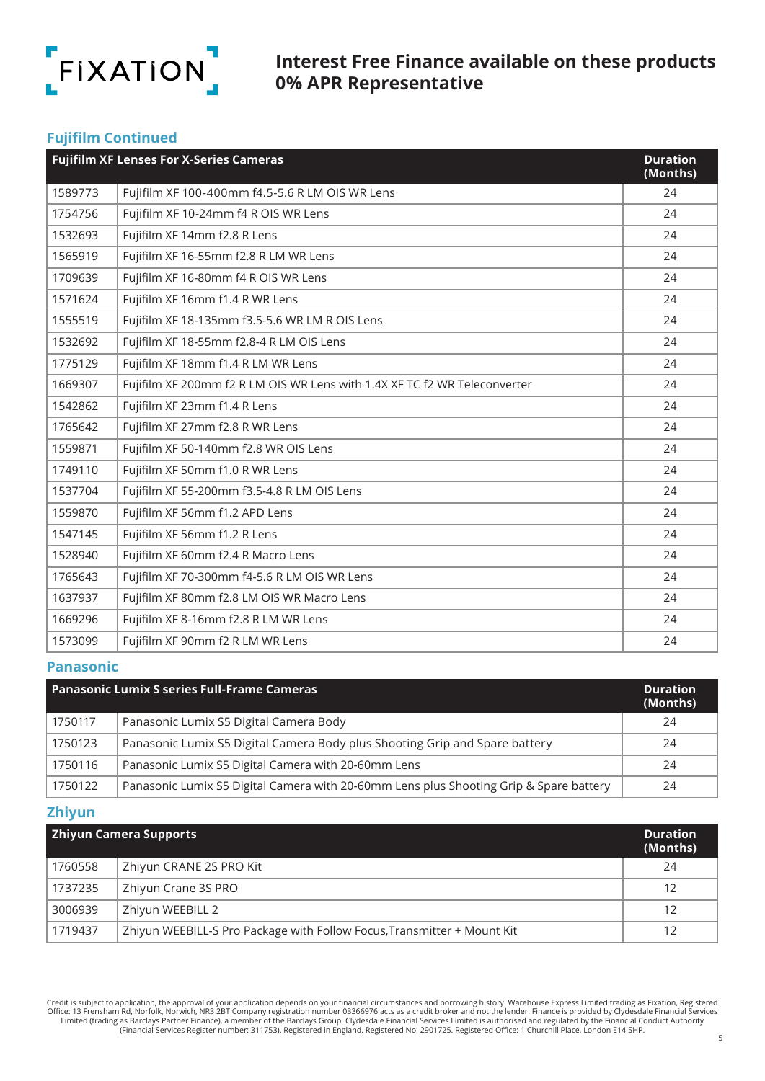

## **Fujifilm Continued**

|         | <b>Fujifilm XF Lenses For X-Series Cameras</b>                            | <b>Duration</b><br>(Months) |
|---------|---------------------------------------------------------------------------|-----------------------------|
| 1589773 | Fujifilm XF 100-400mm f4.5-5.6 R LM OIS WR Lens                           | 24                          |
| 1754756 | Fujifilm XF 10-24mm f4 R OIS WR Lens                                      | 24                          |
| 1532693 | Fujifilm XF 14mm f2.8 R Lens                                              | 24                          |
| 1565919 | Fujifilm XF 16-55mm f2.8 R LM WR Lens                                     | 24                          |
| 1709639 | Fujifilm XF 16-80mm f4 R OIS WR Lens                                      | 24                          |
| 1571624 | Fujifilm XF 16mm f1.4 R WR Lens                                           | 24                          |
| 1555519 | Fujifilm XF 18-135mm f3.5-5.6 WR LM R OIS Lens                            | 24                          |
| 1532692 | Fujifilm XF 18-55mm f2.8-4 R LM OIS Lens                                  | 24                          |
| 1775129 | Fujifilm XF 18mm f1.4 R LM WR Lens                                        | 24                          |
| 1669307 | Fujifilm XF 200mm f2 R LM OIS WR Lens with 1.4X XF TC f2 WR Teleconverter | 24                          |
| 1542862 | Fujifilm XF 23mm f1.4 R Lens                                              | 24                          |
| 1765642 | Fujifilm XF 27mm f2.8 R WR Lens                                           | 24                          |
| 1559871 | Fujifilm XF 50-140mm f2.8 WR OIS Lens                                     | 24                          |
| 1749110 | Fujifilm XF 50mm f1.0 R WR Lens                                           | 24                          |
| 1537704 | Fujifilm XF 55-200mm f3.5-4.8 R LM OIS Lens                               | 24                          |
| 1559870 | Fujifilm XF 56mm f1.2 APD Lens                                            | 24                          |
| 1547145 | Fujifilm XF 56mm f1.2 R Lens                                              | 24                          |
| 1528940 | Fujifilm XF 60mm f2.4 R Macro Lens                                        | 24                          |
| 1765643 | Fujifilm XF 70-300mm f4-5.6 R LM OIS WR Lens                              | 24                          |
| 1637937 | Fujifilm XF 80mm f2.8 LM OIS WR Macro Lens                                | 24                          |
| 1669296 | Fujifilm XF 8-16mm f2.8 R LM WR Lens                                      | 24                          |
| 1573099 | Fujifilm XF 90mm f2 R LM WR Lens                                          | 24                          |

#### **Panasonic**

| <b>Panasonic Lumix S series Full-Frame Cameras</b> |                                                                                        | <b>Duration</b><br>(Months) |
|----------------------------------------------------|----------------------------------------------------------------------------------------|-----------------------------|
| 1750117                                            | Panasonic Lumix S5 Digital Camera Body                                                 | 24                          |
| 1750123                                            | Panasonic Lumix S5 Digital Camera Body plus Shooting Grip and Spare battery            | 24                          |
| 1750116                                            | Panasonic Lumix S5 Digital Camera with 20-60mm Lens                                    | 24                          |
| 1750122                                            | Panasonic Lumix S5 Digital Camera with 20-60mm Lens plus Shooting Grip & Spare battery | 24                          |

#### **Zhiyun**

| <b>Zhiyun Camera Supports</b> |                                                                         | <b>Duration</b><br>(Months) |
|-------------------------------|-------------------------------------------------------------------------|-----------------------------|
| 1760558                       | Zhiyun CRANE 2S PRO Kit                                                 | 24                          |
| 1737235                       | Zhiyun Crane 3S PRO                                                     | 12                          |
| 3006939                       | Zhiyun WEEBILL 2                                                        | 12                          |
| 1719437                       | Zhiyun WEEBILL-S Pro Package with Follow Focus, Transmitter + Mount Kit |                             |

Credit is subject to application, the approval of your application depends on your financial circumstances and borrowing history. Warehouse Express Limited trading as Fixation, Registered Office: 13 Frensham Rd, Norfolk, N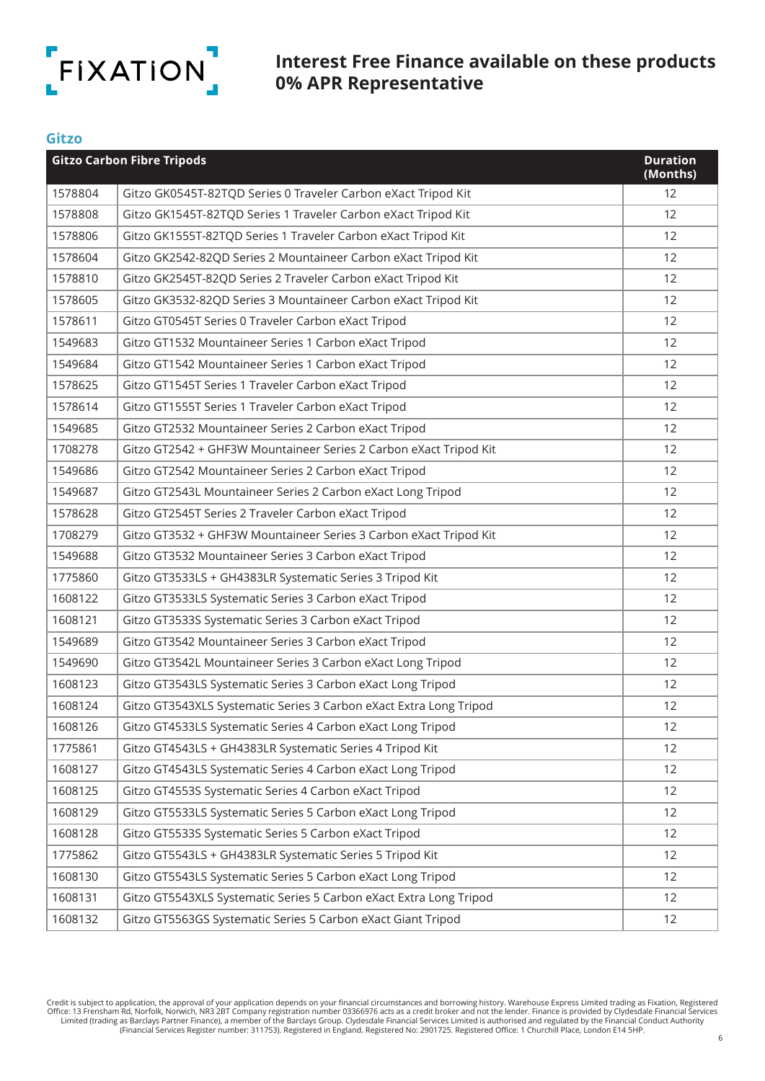

**Gitzo**

# **Interest Free Finance available on these products 0% APR Representative**

|         | <b>Gitzo Carbon Fibre Tripods</b>                                  | <b>Duration</b><br>(Months) |
|---------|--------------------------------------------------------------------|-----------------------------|
| 1578804 | Gitzo GK0545T-82TQD Series 0 Traveler Carbon eXact Tripod Kit      | 12                          |
| 1578808 | Gitzo GK1545T-82TQD Series 1 Traveler Carbon eXact Tripod Kit      | 12                          |
| 1578806 | Gitzo GK1555T-82TQD Series 1 Traveler Carbon eXact Tripod Kit      | 12                          |
| 1578604 | Gitzo GK2542-82QD Series 2 Mountaineer Carbon eXact Tripod Kit     | 12                          |
| 1578810 | Gitzo GK2545T-82QD Series 2 Traveler Carbon eXact Tripod Kit       | 12                          |
| 1578605 | Gitzo GK3532-82QD Series 3 Mountaineer Carbon eXact Tripod Kit     | 12                          |
| 1578611 | Gitzo GT0545T Series 0 Traveler Carbon eXact Tripod                | 12                          |
| 1549683 | Gitzo GT1532 Mountaineer Series 1 Carbon eXact Tripod              | 12                          |
| 1549684 | Gitzo GT1542 Mountaineer Series 1 Carbon eXact Tripod              | 12                          |
| 1578625 | Gitzo GT1545T Series 1 Traveler Carbon eXact Tripod                | 12                          |
| 1578614 | Gitzo GT1555T Series 1 Traveler Carbon eXact Tripod                | 12                          |
| 1549685 | Gitzo GT2532 Mountaineer Series 2 Carbon eXact Tripod              | 12                          |
| 1708278 | Gitzo GT2542 + GHF3W Mountaineer Series 2 Carbon eXact Tripod Kit  | 12                          |
| 1549686 | Gitzo GT2542 Mountaineer Series 2 Carbon eXact Tripod              | 12                          |
| 1549687 | Gitzo GT2543L Mountaineer Series 2 Carbon eXact Long Tripod        | 12                          |
| 1578628 | Gitzo GT2545T Series 2 Traveler Carbon eXact Tripod                | 12                          |
| 1708279 | Gitzo GT3532 + GHF3W Mountaineer Series 3 Carbon eXact Tripod Kit  | 12                          |
| 1549688 | Gitzo GT3532 Mountaineer Series 3 Carbon eXact Tripod              | 12                          |
| 1775860 | Gitzo GT3533LS + GH4383LR Systematic Series 3 Tripod Kit           | 12                          |
| 1608122 | Gitzo GT3533LS Systematic Series 3 Carbon eXact Tripod             | 12                          |
| 1608121 | Gitzo GT3533S Systematic Series 3 Carbon eXact Tripod              | 12                          |
| 1549689 | Gitzo GT3542 Mountaineer Series 3 Carbon eXact Tripod              | 12                          |
| 1549690 | Gitzo GT3542L Mountaineer Series 3 Carbon eXact Long Tripod        | 12                          |
| 1608123 | Gitzo GT3543LS Systematic Series 3 Carbon eXact Long Tripod        | 12                          |
| 1608124 | Gitzo GT3543XLS Systematic Series 3 Carbon eXact Extra Long Tripod | 12                          |
| 1608126 | Gitzo GT4533LS Systematic Series 4 Carbon eXact Long Tripod        | 12                          |
| 1775861 | Gitzo GT4543LS + GH4383LR Systematic Series 4 Tripod Kit           | 12                          |
| 1608127 | Gitzo GT4543LS Systematic Series 4 Carbon eXact Long Tripod        | 12                          |
| 1608125 | Gitzo GT4553S Systematic Series 4 Carbon eXact Tripod              | 12                          |
| 1608129 | Gitzo GT5533LS Systematic Series 5 Carbon eXact Long Tripod        | 12                          |
| 1608128 | Gitzo GT5533S Systematic Series 5 Carbon eXact Tripod              | 12                          |
| 1775862 | Gitzo GT5543LS + GH4383LR Systematic Series 5 Tripod Kit           | 12                          |
| 1608130 | Gitzo GT5543LS Systematic Series 5 Carbon eXact Long Tripod        | 12                          |
| 1608131 | Gitzo GT5543XLS Systematic Series 5 Carbon eXact Extra Long Tripod | 12                          |
| 1608132 | Gitzo GT5563GS Systematic Series 5 Carbon eXact Giant Tripod       | 12                          |

Credit is subject to application, the approval of your application depends on your financial circumstances and borrowing history. Warehouse Express Limited trading as Fixation, Registered Office: 13 Frensham Rd, Norfolk, Norwich, NR3 2BT Company registration number 03366976 acts as a credit broker and not the lender. Finance is provided by Clydesdale Financial Services<br>Limited (trading as Barclays Partner F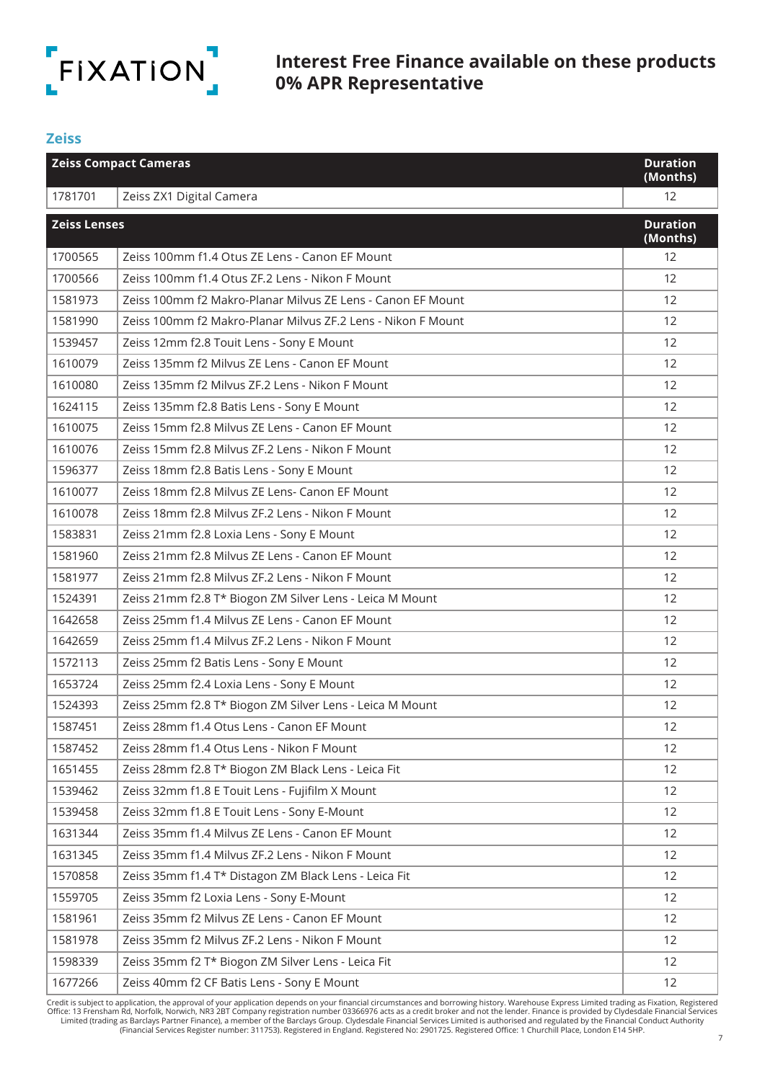

#### **Zeiss**

| <b>Zeiss Compact Cameras</b> |                                                              | <b>Duration</b><br>(Months) |
|------------------------------|--------------------------------------------------------------|-----------------------------|
| 1781701                      | Zeiss ZX1 Digital Camera                                     | 12                          |
| <b>Zeiss Lenses</b>          |                                                              | <b>Duration</b><br>(Months) |
| 1700565                      | Zeiss 100mm f1.4 Otus ZE Lens - Canon EF Mount               | 12                          |
| 1700566                      | Zeiss 100mm f1.4 Otus ZF.2 Lens - Nikon F Mount              | 12                          |
| 1581973                      | Zeiss 100mm f2 Makro-Planar Milvus ZE Lens - Canon EF Mount  | 12                          |
| 1581990                      | Zeiss 100mm f2 Makro-Planar Milvus ZF.2 Lens - Nikon F Mount | 12                          |
| 1539457                      | Zeiss 12mm f2.8 Touit Lens - Sony E Mount                    | 12                          |
| 1610079                      | Zeiss 135mm f2 Milvus ZE Lens - Canon EF Mount               | 12                          |
| 1610080                      | Zeiss 135mm f2 Milvus ZF.2 Lens - Nikon F Mount              | 12                          |
| 1624115                      | Zeiss 135mm f2.8 Batis Lens - Sony E Mount                   | 12                          |
| 1610075                      | Zeiss 15mm f2.8 Milvus ZE Lens - Canon EF Mount              | 12                          |
| 1610076                      | Zeiss 15mm f2.8 Milvus ZF.2 Lens - Nikon F Mount             | 12                          |
| 1596377                      | Zeiss 18mm f2.8 Batis Lens - Sony E Mount                    | 12                          |
| 1610077                      | Zeiss 18mm f2.8 Milvus ZE Lens- Canon EF Mount               | 12                          |
| 1610078                      | Zeiss 18mm f2.8 Milvus ZF.2 Lens - Nikon F Mount             | 12                          |
| 1583831                      | Zeiss 21mm f2.8 Loxia Lens - Sony E Mount                    | 12                          |
| 1581960                      | Zeiss 21mm f2.8 Milvus ZE Lens - Canon EF Mount              | 12                          |
| 1581977                      | Zeiss 21mm f2.8 Milvus ZF.2 Lens - Nikon F Mount             | 12                          |
| 1524391                      | Zeiss 21mm f2.8 T* Biogon ZM Silver Lens - Leica M Mount     | 12                          |
| 1642658                      | Zeiss 25mm f1.4 Milvus ZE Lens - Canon EF Mount              | 12                          |
| 1642659                      | Zeiss 25mm f1.4 Milvus ZF.2 Lens - Nikon F Mount             | 12                          |
| 1572113                      | Zeiss 25mm f2 Batis Lens - Sony E Mount                      | 12                          |
| 1653724                      | Zeiss 25mm f2.4 Loxia Lens - Sony E Mount                    | 12                          |
| 1524393                      | Zeiss 25mm f2.8 T* Biogon ZM Silver Lens - Leica M Mount     | 12                          |
| 1587451                      | Zeiss 28mm f1.4 Otus Lens - Canon EF Mount                   | 12                          |
| 1587452                      | Zeiss 28mm f1.4 Otus Lens - Nikon F Mount                    | 12                          |
| 1651455                      | Zeiss 28mm f2.8 T* Biogon ZM Black Lens - Leica Fit          | 12                          |
| 1539462                      | Zeiss 32mm f1.8 E Touit Lens - Fujifilm X Mount              | 12                          |
| 1539458                      | Zeiss 32mm f1.8 E Touit Lens - Sony E-Mount                  | 12                          |
| 1631344                      | Zeiss 35mm f1.4 Milvus ZE Lens - Canon EF Mount              | 12                          |
| 1631345                      | Zeiss 35mm f1.4 Milvus ZF.2 Lens - Nikon F Mount             | 12                          |
| 1570858                      | Zeiss 35mm f1.4 T* Distagon ZM Black Lens - Leica Fit        | 12                          |
| 1559705                      | Zeiss 35mm f2 Loxia Lens - Sony E-Mount                      | 12                          |
| 1581961                      | Zeiss 35mm f2 Milvus ZE Lens - Canon EF Mount                | 12                          |
| 1581978                      | Zeiss 35mm f2 Milvus ZF.2 Lens - Nikon F Mount               | 12                          |
| 1598339                      | Zeiss 35mm f2 T* Biogon ZM Silver Lens - Leica Fit           | 12                          |
| 1677266                      | Zeiss 40mm f2 CF Batis Lens - Sony E Mount                   | 12                          |

7 Credit is subject to application, the approval of your application depends on your financial circumstances and borrowing history. Warehouse Express Limited trading as Fixation, Registered Office: 13 Frensham Rd, Norfolk,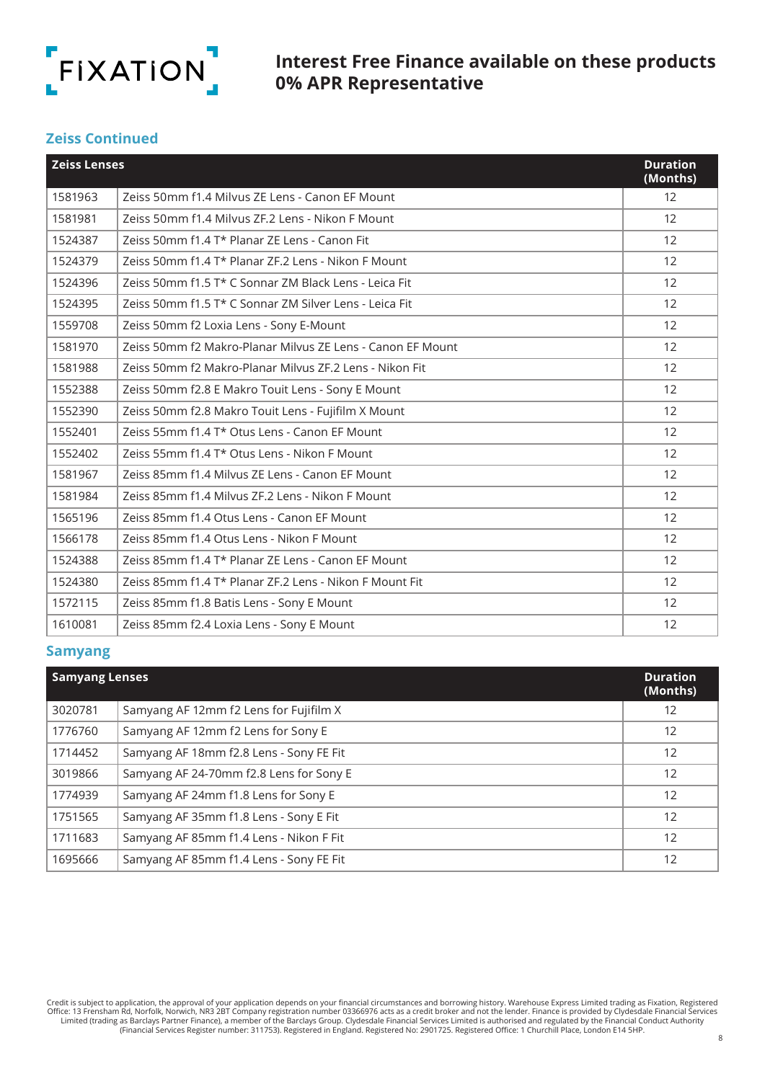

#### **Zeiss Continued**

| <b>Zeiss Lenses</b> |                                                            | <b>Duration</b><br>(Months) |
|---------------------|------------------------------------------------------------|-----------------------------|
| 1581963             | Zeiss 50mm f1.4 Milvus ZE Lens - Canon EF Mount            | 12                          |
| 1581981             | Zeiss 50mm f1.4 Milyus ZF.2 Lens - Nikon F Mount           | $12 \overline{ }$           |
| 1524387             | Zeiss 50mm f1.4 T* Planar ZE Lens - Canon Fit              | 12                          |
| 1524379             | Zeiss 50mm f1.4 T* Planar ZF.2 Lens - Nikon F Mount        | 12                          |
| 1524396             | Zeiss 50mm f1.5 T* C Sonnar ZM Black Lens - Leica Fit      | 12                          |
| 1524395             | Zeiss 50mm f1.5 T* C Sonnar ZM Silver Lens - Leica Fit     | 12                          |
| 1559708             | Zeiss 50mm f2 Loxia Lens - Sony E-Mount                    | 12                          |
| 1581970             | Zeiss 50mm f2 Makro-Planar Milvus ZE Lens - Canon EF Mount | 12                          |
| 1581988             | Zeiss 50mm f2 Makro-Planar Milvus ZF.2 Lens - Nikon Fit    | 12                          |
| 1552388             | Zeiss 50mm f2.8 E Makro Touit Lens - Sony E Mount          | 12                          |
| 1552390             | Zeiss 50mm f2.8 Makro Touit Lens - Fujifilm X Mount        | 12                          |
| 1552401             | Zeiss 55mm f1.4 T* Otus Lens - Canon EF Mount              | 12                          |
| 1552402             | Zeiss 55mm f1.4 T* Otus Lens - Nikon F Mount               | 12                          |
| 1581967             | Zeiss 85mm f1.4 Milvus ZE Lens - Canon EF Mount            | 12                          |
| 1581984             | Zeiss 85mm f1.4 Milvus ZF.2 Lens - Nikon F Mount           | 12                          |
| 1565196             | Zeiss 85mm f1.4 Otus Lens - Canon EF Mount                 | 12                          |
| 1566178             | Zeiss 85mm f1.4 Otus Lens - Nikon F Mount                  | 12                          |
| 1524388             | Zeiss 85mm f1.4 T* Planar ZE Lens - Canon EF Mount         | 12                          |
| 1524380             | Zeiss 85mm f1.4 T* Planar ZF.2 Lens - Nikon F Mount Fit    | 12                          |
| 1572115             | Zeiss 85mm f1.8 Batis Lens - Sony E Mount                  | 12                          |
| 1610081             | Zeiss 85mm f2.4 Loxia Lens - Sony E Mount                  | 12                          |

#### **Samyang**

| <b>Samyang Lenses</b> |                                         | <b>Duration</b><br>(Months) |
|-----------------------|-----------------------------------------|-----------------------------|
| 3020781               | Samyang AF 12mm f2 Lens for Fujifilm X  | 12                          |
| 1776760               | Samyang AF 12mm f2 Lens for Sony E      | 12                          |
| 1714452               | Samyang AF 18mm f2.8 Lens - Sony FE Fit | 12                          |
| 3019866               | Samyang AF 24-70mm f2.8 Lens for Sony E | 12                          |
| 1774939               | Samyang AF 24mm f1.8 Lens for Sony E    | 12                          |
| 1751565               | Samyang AF 35mm f1.8 Lens - Sony E Fit  | 12                          |
| 1711683               | Samyang AF 85mm f1.4 Lens - Nikon F Fit | 12                          |
| 1695666               | Samyang AF 85mm f1.4 Lens - Sony FE Fit | 12                          |

Credit is subject to application, the approval of your application depends on your financial circumstances and borrowing history. Warehouse Express Limited trading as Fixation, Registered Office: 13 Frensham Rd, Norfolk, N